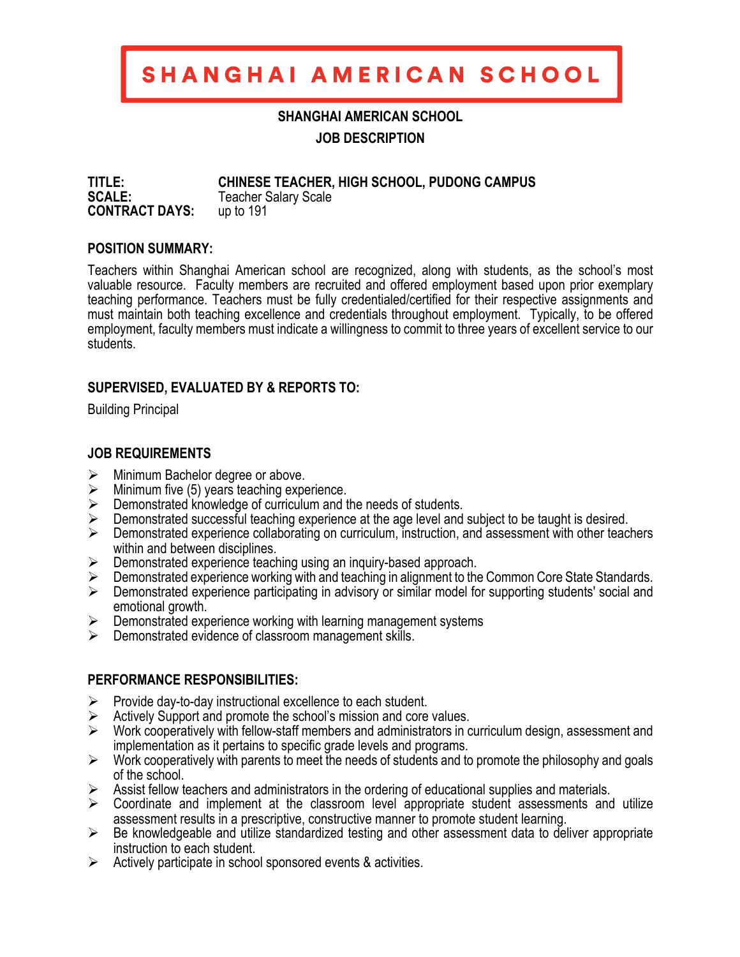# SHANGHAI AMERICAN SCHOOL

### **SHANGHAI AMERICAN SCHOOL**

**JOB DESCRIPTION**

**TITLE: CHINESE TEACHER, HIGH SCHOOL, PUDONG CAMPUS SCALE:** Teacher Salary Scale **CONTRACT DAYS:** up to 191

#### **POSITION SUMMARY:**

Teachers within Shanghai American school are recognized, along with students, as the school's most valuable resource. Faculty members are recruited and offered employment based upon prior exemplary teaching performance. Teachers must be fully credentialed/certified for their respective assignments and must maintain both teaching excellence and credentials throughout employment. Typically, to be offered employment, faculty members must indicate a willingness to commit to three years of excellent service to our students.

#### **SUPERVISED, EVALUATED BY & REPORTS TO:**

Building Principal

#### **JOB REQUIREMENTS**

- $\triangleright$  Minimum Bachelor degree or above.
- $\triangleright$  Minimum five (5) years teaching experience.
- $\triangleright$  Demonstrated knowledge of curriculum and the needs of students.
- $\triangleright$  Demonstrated successful teaching experience at the age level and subject to be taught is desired.
- $\triangleright$  Demonstrated experience collaborating on curriculum, instruction, and assessment with other teachers within and between disciplines.
- $\triangleright$  Demonstrated experience teaching using an inquiry-based approach.
- $\triangleright$  Demonstrated experience working with and teaching in alignment to the Common Core State Standards.
- $\triangleright$  Demonstrated experience participating in advisory or similar model for supporting students' social and emotional growth.
- $\triangleright$  Demonstrated experience working with learning management systems
- $\triangleright$  Demonstrated evidence of classroom management skills.

#### **PERFORMANCE RESPONSIBILITIES:**

- $\triangleright$  Provide day-to-day instructional excellence to each student.
- $\triangleright$  Actively Support and promote the school's mission and core values.
- $\triangleright$  Work cooperatively with fellow-staff members and administrators in curriculum design, assessment and implementation as it pertains to specific grade levels and programs.
- $\triangleright$  Work cooperatively with parents to meet the needs of students and to promote the philosophy and goals of the school.
- $\triangleright$  Assist fellow teachers and administrators in the ordering of educational supplies and materials.
- $\triangleright$  Coordinate and implement at the classroom level appropriate student assessments and utilize assessment results in a prescriptive, constructive manner to promote student learning.
- $\triangleright$  Be knowledgeable and utilize standardized testing and other assessment data to deliver appropriate instruction to each student.
- $\triangleright$  Actively participate in school sponsored events & activities.